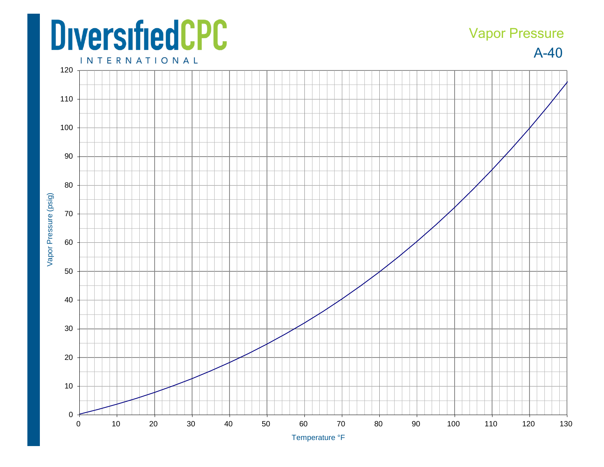## **DiversifiedCPC**

## Vapor Pressure

A-40